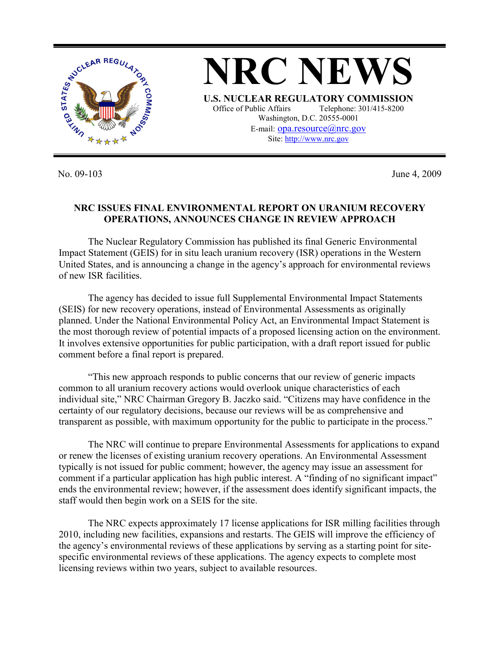

No. 09-103 June 4, 2009

## **NRC ISSUES FINAL ENVIRONMENTAL REPORT ON URANIUM RECOVERY OPERATIONS, ANNOUNCES CHANGE IN REVIEW APPROACH**

 The Nuclear Regulatory Commission has published its final Generic Environmental Impact Statement (GEIS) for in situ leach uranium recovery (ISR) operations in the Western United States, and is announcing a change in the agency's approach for environmental reviews of new ISR facilities.

 The agency has decided to issue full Supplemental Environmental Impact Statements (SEIS) for new recovery operations, instead of Environmental Assessments as originally planned. Under the National Environmental Policy Act, an Environmental Impact Statement is the most thorough review of potential impacts of a proposed licensing action on the environment. It involves extensive opportunities for public participation, with a draft report issued for public comment before a final report is prepared.

 "This new approach responds to public concerns that our review of generic impacts common to all uranium recovery actions would overlook unique characteristics of each individual site," NRC Chairman Gregory B. Jaczko said. "Citizens may have confidence in the certainty of our regulatory decisions, because our reviews will be as comprehensive and transparent as possible, with maximum opportunity for the public to participate in the process."

 The NRC will continue to prepare Environmental Assessments for applications to expand or renew the licenses of existing uranium recovery operations. An Environmental Assessment typically is not issued for public comment; however, the agency may issue an assessment for comment if a particular application has high public interest. A "finding of no significant impact" ends the environmental review; however, if the assessment does identify significant impacts, the staff would then begin work on a SEIS for the site.

 The NRC expects approximately 17 license applications for ISR milling facilities through 2010, including new facilities, expansions and restarts. The GEIS will improve the efficiency of the agency's environmental reviews of these applications by serving as a starting point for sitespecific environmental reviews of these applications. The agency expects to complete most licensing reviews within two years, subject to available resources.